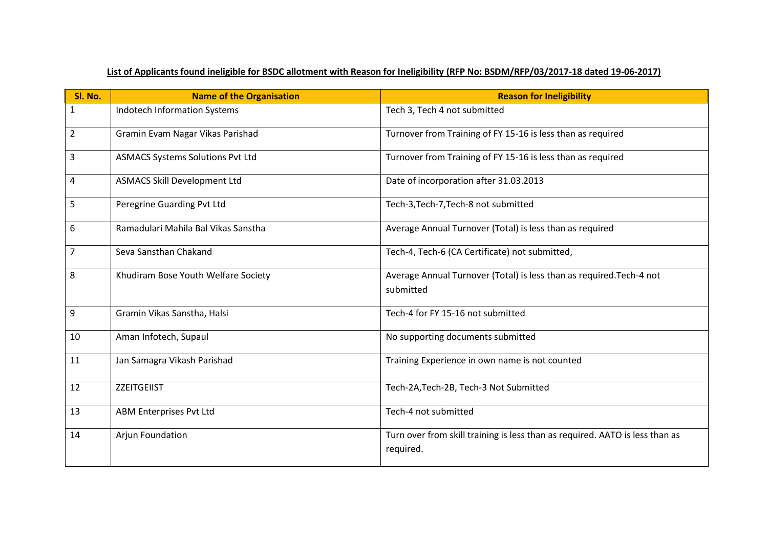| List of Applicants found ineligible for BSDC allotment with Reason for Ineligibility (RFP No: BSDM/RFP/03/2017-18 dated 19-06-2017) |  |
|-------------------------------------------------------------------------------------------------------------------------------------|--|
|                                                                                                                                     |  |

| Sl. No.        | <b>Name of the Organisation</b>         | <b>Reason for Ineligibility</b>                                                           |
|----------------|-----------------------------------------|-------------------------------------------------------------------------------------------|
| $\mathbf{1}$   | Indotech Information Systems            | Tech 3, Tech 4 not submitted                                                              |
| $\overline{2}$ | Gramin Evam Nagar Vikas Parishad        | Turnover from Training of FY 15-16 is less than as required                               |
| 3              | <b>ASMACS Systems Solutions Pvt Ltd</b> | Turnover from Training of FY 15-16 is less than as required                               |
| 4              | <b>ASMACS Skill Development Ltd</b>     | Date of incorporation after 31.03.2013                                                    |
| 5              | Peregrine Guarding Pvt Ltd              | Tech-3, Tech-7, Tech-8 not submitted                                                      |
| 6              | Ramadulari Mahila Bal Vikas Sanstha     | Average Annual Turnover (Total) is less than as required                                  |
| $\overline{7}$ | Seva Sansthan Chakand                   | Tech-4, Tech-6 (CA Certificate) not submitted,                                            |
| 8              | Khudiram Bose Youth Welfare Society     | Average Annual Turnover (Total) is less than as required. Tech-4 not<br>submitted         |
| 9              | Gramin Vikas Sanstha, Halsi             | Tech-4 for FY 15-16 not submitted                                                         |
| 10             | Aman Infotech, Supaul                   | No supporting documents submitted                                                         |
| 11             | Jan Samagra Vikash Parishad             | Training Experience in own name is not counted                                            |
| 12             | ZZEITGEIIST                             | Tech-2A, Tech-2B, Tech-3 Not Submitted                                                    |
| 13             | ABM Enterprises Pvt Ltd                 | Tech-4 not submitted                                                                      |
| 14             | Arjun Foundation                        | Turn over from skill training is less than as required. AATO is less than as<br>required. |